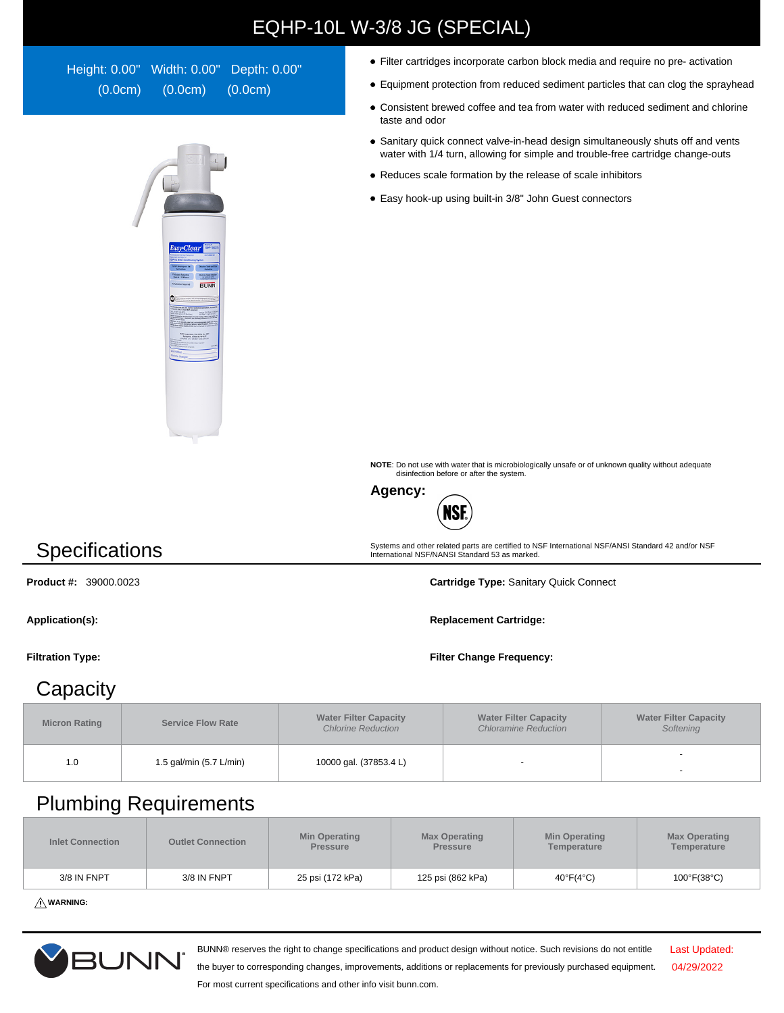## EQHP-10L W-3/8 JG (SPECIAL)

Height: 0.00" Width: 0.00" Depth: 0.00" (0.0cm) (0.0cm) (0.0cm)



- Filter cartridges incorporate carbon block media and require no pre- activation
- Equipment protection from reduced sediment particles that can clog the sprayhead
- Consistent brewed coffee and tea from water with reduced sediment and chlorine taste and odor
- Sanitary quick connect valve-in-head design simultaneously shuts off and vents water with 1/4 turn, allowing for simple and trouble-free cartridge change-outs
- Reduces scale formation by the release of scale inhibitors
- Easy hook-up using built-in 3/8" John Guest connectors

**NOTE**: Do not use with water that is microbiologically unsafe or of unknown quality without adequate disinfection before or after the system.

Systems and other related parts are certified to NSF International NSF/ANSI Standard 42 and/or NSF International NSF/NANSI Standard 53 as marked.



**Specifications** 

**Product #:** 39000.0023 **Cartridge Type:** Sanitary Quick Connect

## **Capacity**

**Micron Rating Service Flow Rate Water Filter Capacity**  Chlorine Reduction **Water Filter Capacity**  Chloramine Reduction **Water Filter Capacity Softening** 1.0 1.5 gal/min (5.7 L/min) 10000 gal. (37853.4 L) -

## Plumbing Requirements

| <b>Inlet Connection</b> | <b>Outlet Connection</b> | <b>Min Operating</b><br><b>Pressure</b> | <b>Max Operating</b><br><b>Pressure</b> | <b>Min Operating</b><br>Temperature | <b>Max Operating</b><br>Temperature |
|-------------------------|--------------------------|-----------------------------------------|-----------------------------------------|-------------------------------------|-------------------------------------|
| 3/8 IN FNPT             | 3/8 IN FNPT              | 25 psi (172 kPa)                        | 125 psi (862 kPa)                       | $40^{\circ}F(4^{\circ}C)$           | 100°F(38°C)                         |

**WARNING:**



BUNN® reserves the right to change specifications and product design without notice. Such revisions do not entitle

Last Updated: 04/29/2022

the buyer to corresponding changes, improvements, additions or replacements for previously purchased equipment. For most current specifications and other info visit bunn.com.

Application(s): **Replacement Cartridge: Replacement Cartridge: Replacement Cartridge:** 

**Filtration Type: Filter Change Frequency:**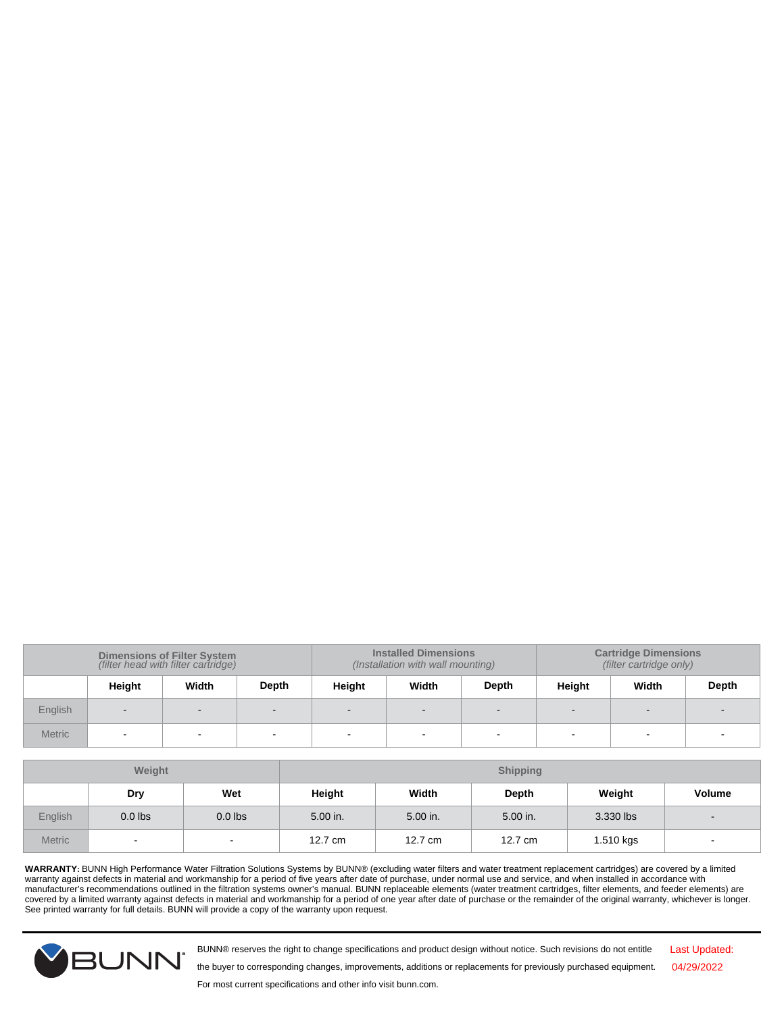| <b>Dimensions of Filter System</b><br>(filter head with filter cartridge) |        |       | <b>Installed Dimensions</b><br>(Installation with wall mounting) |        |        | <b>Cartridge Dimensions</b><br>(filter cartridge only) |        |       |       |
|---------------------------------------------------------------------------|--------|-------|------------------------------------------------------------------|--------|--------|--------------------------------------------------------|--------|-------|-------|
|                                                                           | Height | Width | Depth                                                            | Height | Width  | Depth                                                  | Height | Width | Depth |
| English                                                                   | $\sim$ |       |                                                                  | $\sim$ | $\sim$ |                                                        |        |       |       |
| <b>Metric</b>                                                             |        |       |                                                                  | -      |        |                                                        |        | -     |       |

| Weight        |           |           | <b>Shipping</b> |          |          |           |                |
|---------------|-----------|-----------|-----------------|----------|----------|-----------|----------------|
|               | Dry       | Wet       | Height          | Width    | Depth    | Weight    | <b>Volume</b>  |
| English       | $0.0$ lbs | $0.0$ lbs | 5.00 in.        | 5.00 in. | 5.00 in. | 3.330 lbs | $\blacksquare$ |
| <b>Metric</b> | $\sim$    | $\sim$    | 12.7 cm         | 12.7 cm  | 12.7 cm  | 1.510 kgs | $\sim$         |

WARRANTY: BUNN High Performance Water Filtration Solutions Systems by BUNN® (excluding water filters and water treatment replacement cartridges) are covered by a limited<br>manufacturer's recommendations outlined in the filt See printed warranty for full details. BUNN will provide a copy of the warranty upon request.



BUNN® reserves the right to change specifications and product design without notice. Such revisions do not entitle

Last Updated: 04/29/2022

the buyer to corresponding changes, improvements, additions or replacements for previously purchased equipment.

For most current specifications and other info visit bunn.com.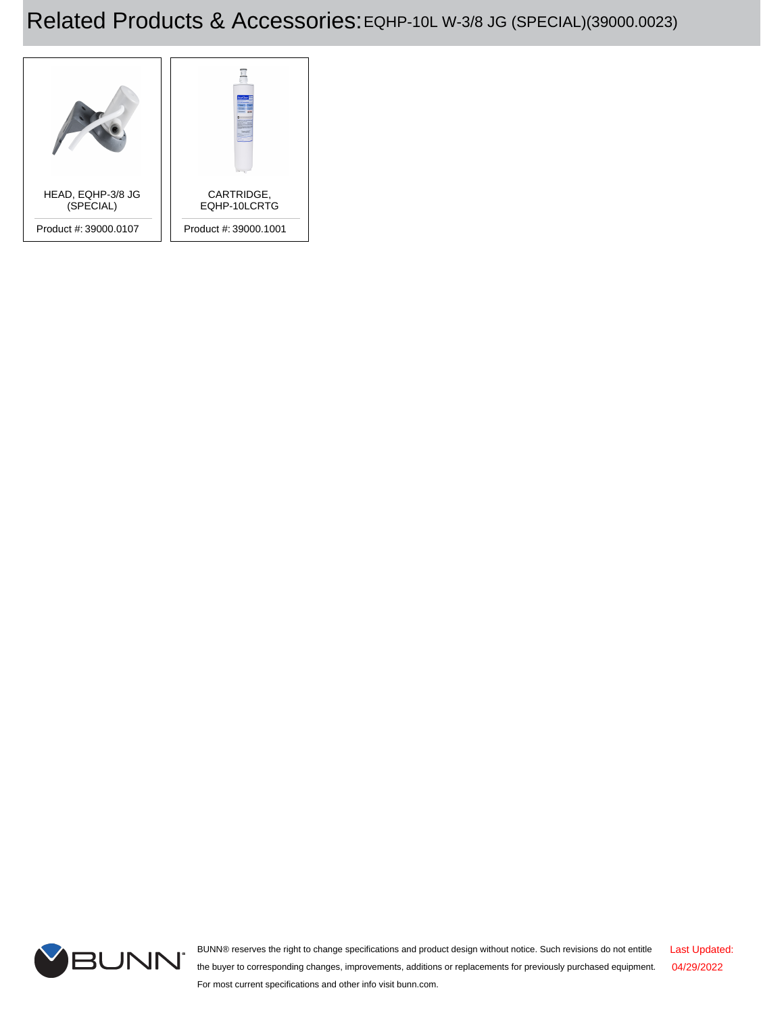## Related Products & Accessories:EQHP-10L W-3/8 JG (SPECIAL)(39000.0023)





BUNN® reserves the right to change specifications and product design without notice. Such revisions do not entitle the buyer to corresponding changes, improvements, additions or replacements for previously purchased equipment. For most current specifications and other info visit bunn.com. Last Updated: 04/29/2022